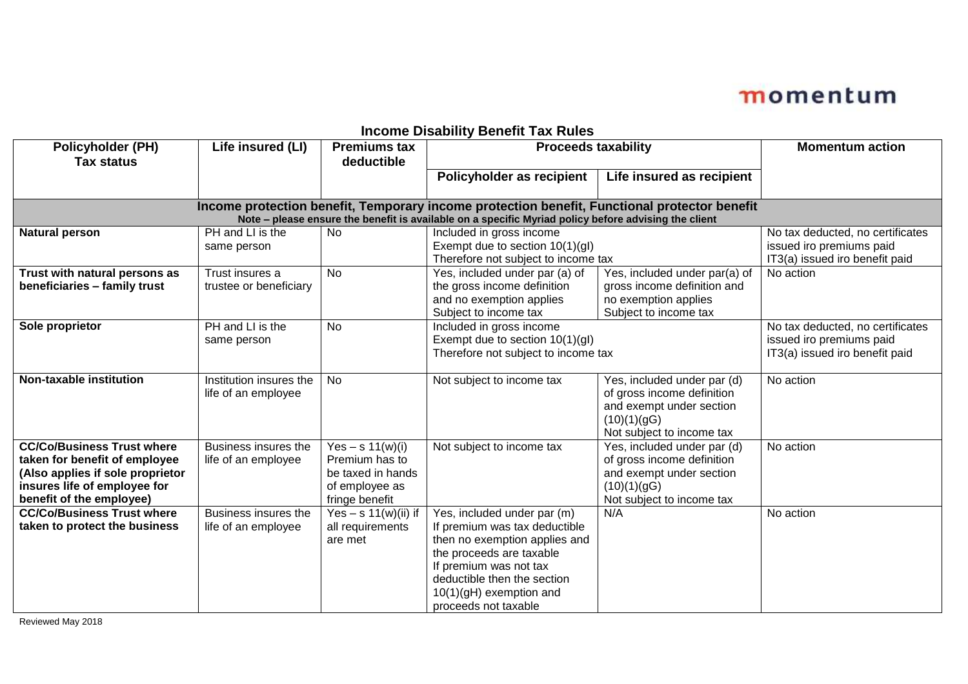| <b>Policyholder (PH)</b><br><b>Tax status</b>                                                                                                                                                        | Life insured (LI)                              | <b>Premiums tax</b><br>deductible                                                             | _ _ _ _ _ _ _<br><b>Proceeds taxability</b>                                                                                                                                                                                             |                                                                                                                                   | <b>Momentum action</b>                                                                         |  |  |  |
|------------------------------------------------------------------------------------------------------------------------------------------------------------------------------------------------------|------------------------------------------------|-----------------------------------------------------------------------------------------------|-----------------------------------------------------------------------------------------------------------------------------------------------------------------------------------------------------------------------------------------|-----------------------------------------------------------------------------------------------------------------------------------|------------------------------------------------------------------------------------------------|--|--|--|
|                                                                                                                                                                                                      |                                                |                                                                                               | Policyholder as recipient                                                                                                                                                                                                               | Life insured as recipient                                                                                                         |                                                                                                |  |  |  |
| Income protection benefit, Temporary income protection benefit, Functional protector benefit<br>Note - please ensure the benefit is available on a specific Myriad policy before advising the client |                                                |                                                                                               |                                                                                                                                                                                                                                         |                                                                                                                                   |                                                                                                |  |  |  |
| <b>Natural person</b>                                                                                                                                                                                | PH and LI is the<br>same person                | <b>No</b>                                                                                     | Included in gross income<br>Exempt due to section 10(1)(gl)<br>Therefore not subject to income tax                                                                                                                                      |                                                                                                                                   | No tax deducted, no certificates<br>issued iro premiums paid<br>IT3(a) issued iro benefit paid |  |  |  |
| Trust with natural persons as<br>beneficiaries - family trust                                                                                                                                        | Trust insures a<br>trustee or beneficiary      | No                                                                                            | Yes, included under par (a) of<br>the gross income definition<br>and no exemption applies<br>Subject to income tax                                                                                                                      | Yes, included under par(a) of<br>gross income definition and<br>no exemption applies<br>Subject to income tax                     | No action                                                                                      |  |  |  |
| Sole proprietor                                                                                                                                                                                      | PH and LI is the<br>same person                | <b>No</b>                                                                                     | Included in gross income<br>Exempt due to section 10(1)(gl)<br>Therefore not subject to income tax                                                                                                                                      |                                                                                                                                   | No tax deducted, no certificates<br>issued iro premiums paid<br>IT3(a) issued iro benefit paid |  |  |  |
| <b>Non-taxable institution</b>                                                                                                                                                                       | Institution insures the<br>life of an employee | No                                                                                            | Not subject to income tax                                                                                                                                                                                                               | Yes, included under par (d)<br>of gross income definition<br>and exempt under section<br>(10)(1)(g)<br>Not subject to income tax  | No action                                                                                      |  |  |  |
| <b>CC/Co/Business Trust where</b><br>taken for benefit of employee<br>(Also applies if sole proprietor<br>insures life of employee for<br>benefit of the employee)                                   | Business insures the<br>life of an employee    | Yes – s $11(w)(i)$<br>Premium has to<br>be taxed in hands<br>of employee as<br>fringe benefit | Not subject to income tax                                                                                                                                                                                                               | Yes, included under par (d)<br>of gross income definition<br>and exempt under section<br>(10)(1)(gG)<br>Not subject to income tax | No action                                                                                      |  |  |  |
| <b>CC/Co/Business Trust where</b><br>taken to protect the business                                                                                                                                   | Business insures the<br>life of an employee    | Yes $-$ s 11(w)(ii) if<br>all requirements<br>are met                                         | Yes, included under par (m)<br>If premium was tax deductible<br>then no exemption applies and<br>the proceeds are taxable<br>If premium was not tax<br>deductible then the section<br>$10(1)(gH)$ exemption and<br>proceeds not taxable | N/A                                                                                                                               | No action                                                                                      |  |  |  |

#### **Income Disability Benefit Tax Rules**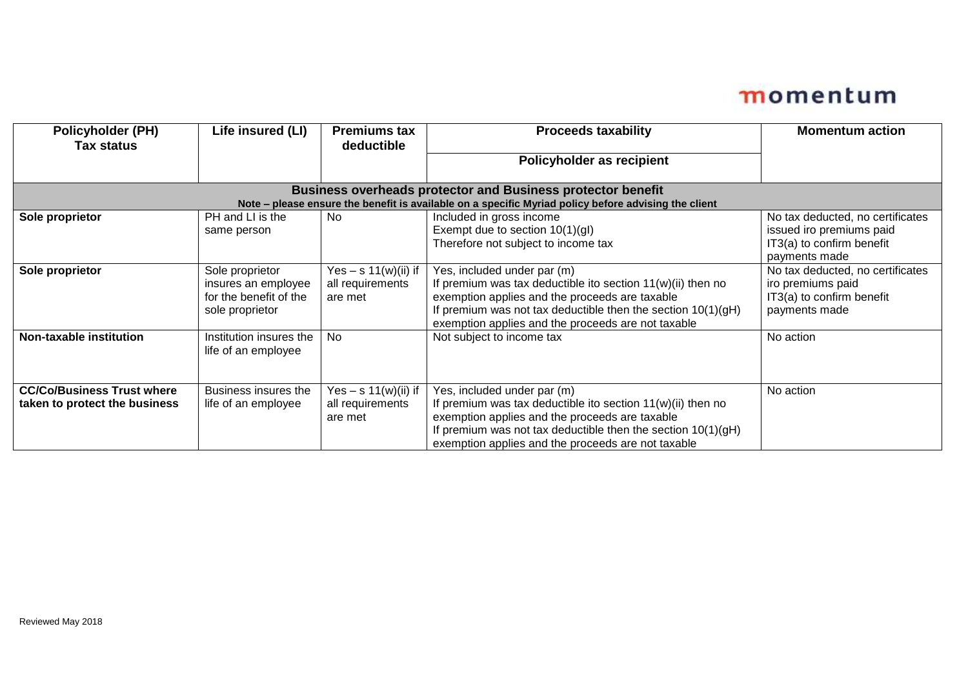| <b>Policyholder (PH)</b><br><b>Tax status</b>                                                        | Life insured (LI)                                                                   | <b>Premiums tax</b><br>deductible                     | <b>Proceeds taxability</b>                                                                                                                                                                                                                                             | <b>Momentum action</b>                                                                                     |  |  |  |
|------------------------------------------------------------------------------------------------------|-------------------------------------------------------------------------------------|-------------------------------------------------------|------------------------------------------------------------------------------------------------------------------------------------------------------------------------------------------------------------------------------------------------------------------------|------------------------------------------------------------------------------------------------------------|--|--|--|
|                                                                                                      |                                                                                     |                                                       | Policyholder as recipient                                                                                                                                                                                                                                              |                                                                                                            |  |  |  |
| <b>Business overheads protector and Business protector benefit</b>                                   |                                                                                     |                                                       |                                                                                                                                                                                                                                                                        |                                                                                                            |  |  |  |
| Note - please ensure the benefit is available on a specific Myriad policy before advising the client |                                                                                     |                                                       |                                                                                                                                                                                                                                                                        |                                                                                                            |  |  |  |
| Sole proprietor                                                                                      | PH and LI is the<br>same person                                                     | No                                                    | Included in gross income<br>Exempt due to section $10(1)(gl)$<br>Therefore not subject to income tax                                                                                                                                                                   | No tax deducted, no certificates<br>issued iro premiums paid<br>IT3(a) to confirm benefit<br>payments made |  |  |  |
| Sole proprietor                                                                                      | Sole proprietor<br>insures an employee<br>for the benefit of the<br>sole proprietor | Yes $-$ s 11(w)(ii) if<br>all requirements<br>are met | Yes, included under par (m)<br>If premium was tax deductible ito section $11(w)(ii)$ then no<br>exemption applies and the proceeds are taxable<br>If premium was not tax deductible then the section $10(1)(gH)$<br>exemption applies and the proceeds are not taxable | No tax deducted, no certificates<br>iro premiums paid<br>IT3(a) to confirm benefit<br>payments made        |  |  |  |
| Non-taxable institution                                                                              | Institution insures the<br>life of an employee                                      | No                                                    | Not subject to income tax                                                                                                                                                                                                                                              | No action                                                                                                  |  |  |  |
| <b>CC/Co/Business Trust where</b><br>taken to protect the business                                   | Business insures the<br>life of an employee                                         | Yes $-$ s 11(w)(ii) if<br>all requirements<br>are met | Yes, included under par (m)<br>If premium was tax deductible ito section $11(w)(ii)$ then no<br>exemption applies and the proceeds are taxable<br>If premium was not tax deductible then the section $10(1)(gH)$<br>exemption applies and the proceeds are not taxable | No action                                                                                                  |  |  |  |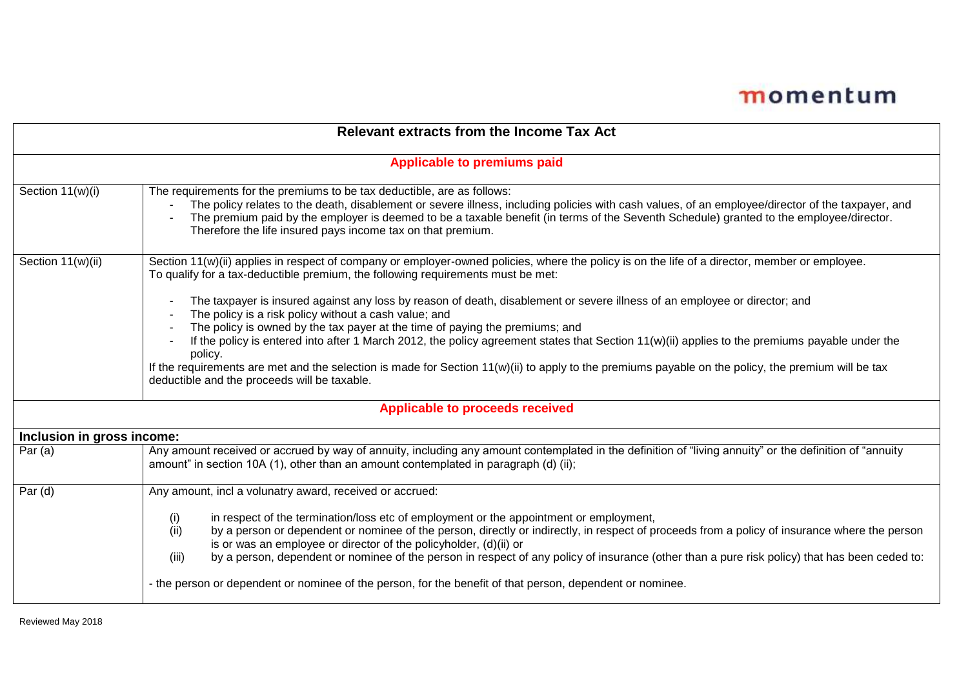| <b>Relevant extracts from the Income Tax Act</b> |                                                                                                                                                                                                                                                                                                                                                                                                                                        |  |  |  |
|--------------------------------------------------|----------------------------------------------------------------------------------------------------------------------------------------------------------------------------------------------------------------------------------------------------------------------------------------------------------------------------------------------------------------------------------------------------------------------------------------|--|--|--|
| <b>Applicable to premiums paid</b>               |                                                                                                                                                                                                                                                                                                                                                                                                                                        |  |  |  |
| Section 11(w)(i)                                 | The requirements for the premiums to be tax deductible, are as follows:<br>The policy relates to the death, disablement or severe illness, including policies with cash values, of an employee/director of the taxpayer, and<br>The premium paid by the employer is deemed to be a taxable benefit (in terms of the Seventh Schedule) granted to the employee/director.<br>Therefore the life insured pays income tax on that premium. |  |  |  |
| Section 11(w)(ii)                                | Section 11(w)(ii) applies in respect of company or employer-owned policies, where the policy is on the life of a director, member or employee.<br>To qualify for a tax-deductible premium, the following requirements must be met:                                                                                                                                                                                                     |  |  |  |
|                                                  | The taxpayer is insured against any loss by reason of death, disablement or severe illness of an employee or director; and<br>The policy is a risk policy without a cash value; and                                                                                                                                                                                                                                                    |  |  |  |
|                                                  | The policy is owned by the tax payer at the time of paying the premiums; and<br>If the policy is entered into after 1 March 2012, the policy agreement states that Section 11(w)(ii) applies to the premiums payable under the<br>policy.                                                                                                                                                                                              |  |  |  |
|                                                  | If the requirements are met and the selection is made for Section 11(w)(ii) to apply to the premiums payable on the policy, the premium will be tax<br>deductible and the proceeds will be taxable.                                                                                                                                                                                                                                    |  |  |  |
| <b>Applicable to proceeds received</b>           |                                                                                                                                                                                                                                                                                                                                                                                                                                        |  |  |  |
| Inclusion in gross income:                       |                                                                                                                                                                                                                                                                                                                                                                                                                                        |  |  |  |
| Par $(a)$                                        | Any amount received or accrued by way of annuity, including any amount contemplated in the definition of "living annuity" or the definition of "annuity<br>amount" in section 10A (1), other than an amount contemplated in paragraph (d) (ii);                                                                                                                                                                                        |  |  |  |
| Par $(d)$                                        | Any amount, incl a volunatry award, received or accrued:<br>in respect of the termination/loss etc of employment or the appointment or employment,                                                                                                                                                                                                                                                                                     |  |  |  |
|                                                  | (i)<br>by a person or dependent or nominee of the person, directly or indirectly, in respect of proceeds from a policy of insurance where the person<br>(ii)<br>is or was an employee or director of the policyholder, (d)(ii) or                                                                                                                                                                                                      |  |  |  |
|                                                  | by a person, dependent or nominee of the person in respect of any policy of insurance (other than a pure risk policy) that has been ceded to:<br>(iii)                                                                                                                                                                                                                                                                                 |  |  |  |
|                                                  | - the person or dependent or nominee of the person, for the benefit of that person, dependent or nominee.                                                                                                                                                                                                                                                                                                                              |  |  |  |